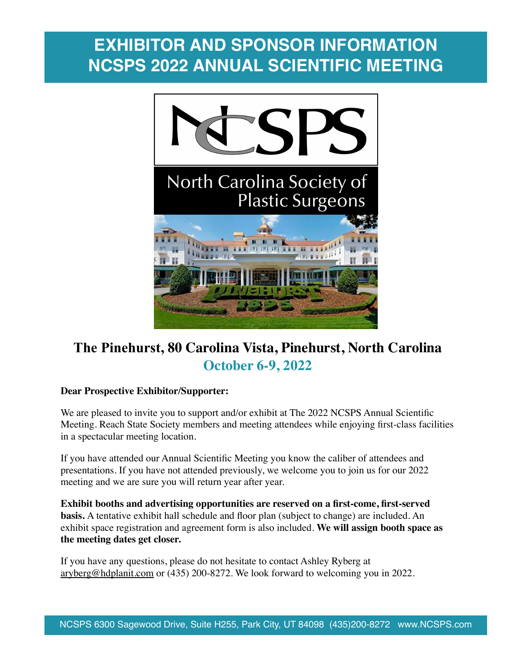## **EXHIBITOR AND SPONSOR INFORMATION NCSPS 2022 ANNUAL SCIENTIFIC MEETING**



## **The Pinehurst, 80 Carolina Vista, Pinehurst, North Carolina October 6-9, 2022**

### **Dear Prospective Exhibitor/Supporter:**

We are pleased to invite you to support and/or exhibit at The 2022 NCSPS Annual Scientific Meeting. Reach State Society members and meeting attendees while enjoying first-class facilities in a spectacular meeting location.

If you have attended our Annual Scientific Meeting you know the caliber of attendees and presentations. If you have not attended previously, we welcome you to join us for our 2022 meeting and we are sure you will return year after year.

**Exhibit booths and advertising opportunities are reserved on a first-come, first-served basis.** A tentative exhibit hall schedule and floor plan (subject to change) are included. An exhibit space registration and agreement form is also included. **We will assign booth space as the meeting dates get closer.** 

If you have any questions, please do not hesitate to contact Ashley Ryberg at [aryberg@hdplanit.com](mailto:aryberg@hdplanit.com) or (435) 200-8272. We look forward to welcoming you in 2022.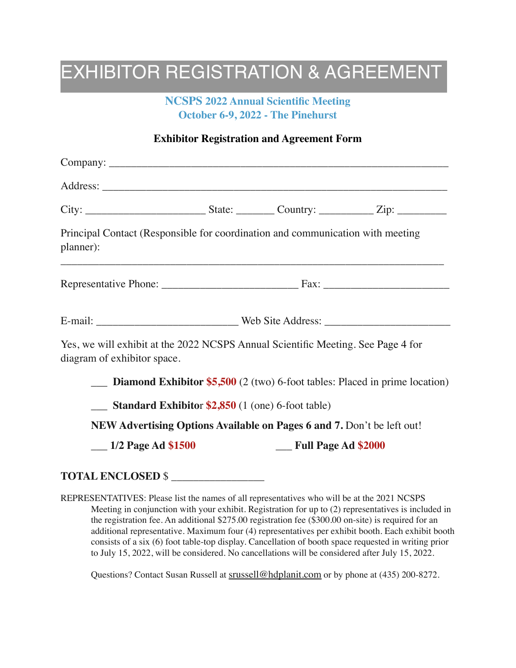## EXHIBITOR REGISTRATION & AGREEMENT

## **NCSPS 2022 Annual Scientific Meeting October 6-9, 2022 - The Pinehurst**

## **Exhibitor Registration and Agreement Form**

| Principal Contact (Responsible for coordination and communication with meeting<br>planner):<br><u> 1980 - Jan James James James James James James James James James James James James James James James James J</u> |                                                                 |                                                                        |                                                                                              |
|---------------------------------------------------------------------------------------------------------------------------------------------------------------------------------------------------------------------|-----------------------------------------------------------------|------------------------------------------------------------------------|----------------------------------------------------------------------------------------------|
|                                                                                                                                                                                                                     |                                                                 |                                                                        |                                                                                              |
|                                                                                                                                                                                                                     |                                                                 |                                                                        |                                                                                              |
| Yes, we will exhibit at the 2022 NCSPS Annual Scientific Meeting. See Page 4 for<br>diagram of exhibitor space.                                                                                                     |                                                                 |                                                                        |                                                                                              |
|                                                                                                                                                                                                                     |                                                                 |                                                                        | <b>Diamond Exhibitor \$5,500</b> $(2 \text{ (two) 6-foot tables: Placed in prime location)}$ |
|                                                                                                                                                                                                                     | $\frac{1}{2}$ Standard Exhibitor \$2,850 (1 (one) 6-foot table) |                                                                        |                                                                                              |
|                                                                                                                                                                                                                     |                                                                 | NEW Advertising Options Available on Pages 6 and 7. Don't be left out! |                                                                                              |
| $\frac{1}{2}$ Page Ad \$1500                                                                                                                                                                                        |                                                                 | __ Full Page Ad \$2000                                                 |                                                                                              |

## **TOTAL ENCLOSED** \$ \_\_\_\_\_\_\_\_\_\_\_\_\_\_\_\_\_

REPRESENTATIVES: Please list the names of all representatives who will be at the 2021 NCSPS Meeting in conjunction with your exhibit. Registration for up to (2) representatives is included in the registration fee. An additional \$275.00 registration fee (\$300.00 on-site) is required for an additional representative. Maximum four (4) representatives per exhibit booth. Each exhibit booth consists of a six (6) foot table-top display. Cancellation of booth space requested in writing prior to July 15, 2022, will be considered. No cancellations will be considered after July 15, 2022.

Questions? Contact Susan Russell at [srussell@hdplanit.com](mailto:srussell@hdplanit.com) or by phone at (435) 200-8272.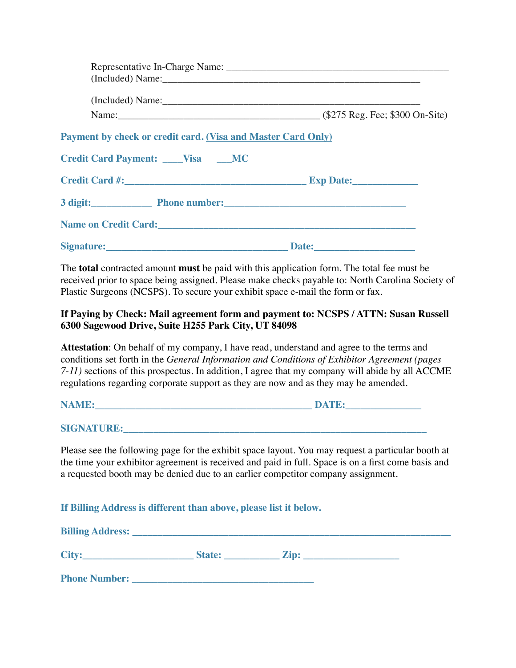| Payment by check or credit card. (Visa and Master Card Only) |              |  |  |
|--------------------------------------------------------------|--------------|--|--|
| Credit Card Payment: ____Visa ____MC                         |              |  |  |
|                                                              |              |  |  |
| 3 digit: Phone number: Phone numbers                         |              |  |  |
| Name on Credit Card: <u>Name on Credit Card:</u>             |              |  |  |
| Signature:                                                   | <b>Date:</b> |  |  |

The **total** contracted amount **must** be paid with this application form. The total fee must be received prior to space being assigned. Please make checks payable to: North Carolina Society of Plastic Surgeons (NCSPS). To secure your exhibit space e-mail the form or fax.

#### **If Paying by Check: Mail agreement form and payment to: NCSPS / ATTN: Susan Russell 6300 Sagewood Drive, Suite H255 Park City, UT 84098**

**Attestation**: On behalf of my company, I have read, understand and agree to the terms and conditions set forth in the *General Information and Conditions of Exhibitor Agreement (pages 7-11)* sections of this prospectus. In addition, I agree that my company will abide by all ACCME regulations regarding corporate support as they are now and as they may be amended.

**NAME:\_\_\_\_\_\_\_\_\_\_\_\_\_\_\_\_\_\_\_\_\_\_\_\_\_\_\_\_\_\_\_\_\_\_\_\_\_\_\_\_\_\_\_ DATE:\_\_\_\_\_\_\_\_\_\_\_\_\_\_\_** 

**SIGNATURE:** 

Please see the following page for the exhibit space layout. You may request a particular booth at the time your exhibitor agreement is received and paid in full. Space is on a first come basis and a requested booth may be denied due to an earlier competitor company assignment.

**If Billing Address is different than above, please list it below.** 

| <b>Billing Address:</b> |               |      |  |
|-------------------------|---------------|------|--|
| <b>City:</b>            | <b>State:</b> | Zip: |  |
| <b>Phone Number:</b>    |               |      |  |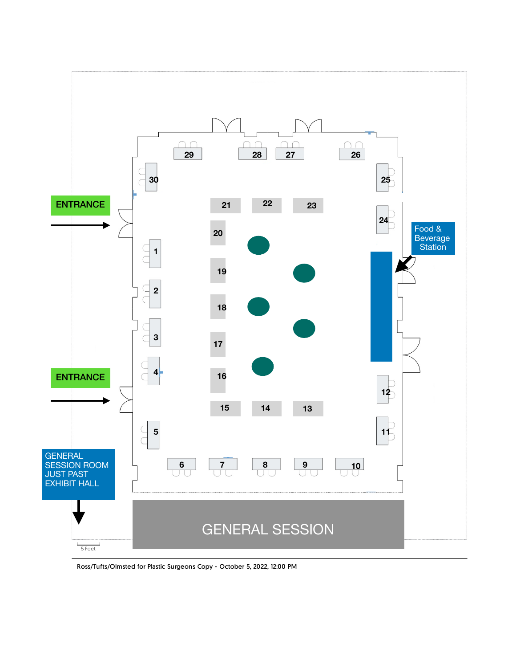

Ross/Tufts/Olmsted for Plastic Surgeons Copy - October 5, 2022, 12:00 PM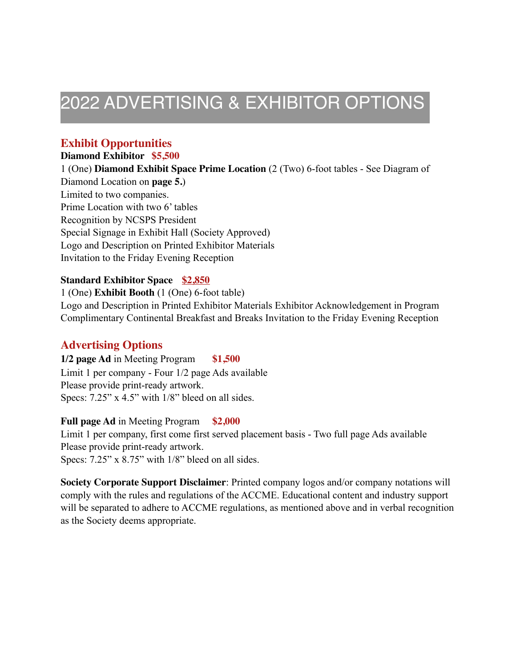## 2022 ADVERTISING & EXHIBITOR OPTIONS

## **Exhibit Opportunities**

## **Diamond Exhibitor \$5,500**

1 (One) **Diamond Exhibit Space Prime Location** (2 (Two) 6-foot tables - See Diagram of Diamond Location on **page 5.**) Limited to two companies. Prime Location with two 6' tables Recognition by NCSPS President Special Signage in Exhibit Hall (Society Approved) Logo and Description on Printed Exhibitor Materials Invitation to the Friday Evening Reception

### **Standard Exhibitor Space \$2,850**

1 (One) **Exhibit Booth** (1 (One) 6-foot table) Logo and Description in Printed Exhibitor Materials Exhibitor Acknowledgement in Program Complimentary Continental Breakfast and Breaks Invitation to the Friday Evening Reception

## **Advertising Options**

**1/2 page Ad** in Meeting Program **\$1,500** Limit 1 per company - Four 1/2 page Ads available Please provide print-ready artwork. Specs: 7.25" x 4.5" with  $1/8$ " bleed on all sides.

### **Full page Ad** in Meeting Program **\$2,000**

Limit 1 per company, first come first served placement basis - Two full page Ads available Please provide print-ready artwork. Specs: 7.25" x 8.75" with 1/8" bleed on all sides.

**Society Corporate Support Disclaimer**: Printed company logos and/or company notations will comply with the rules and regulations of the ACCME. Educational content and industry support will be separated to adhere to ACCME regulations, as mentioned above and in verbal recognition as the Society deems appropriate.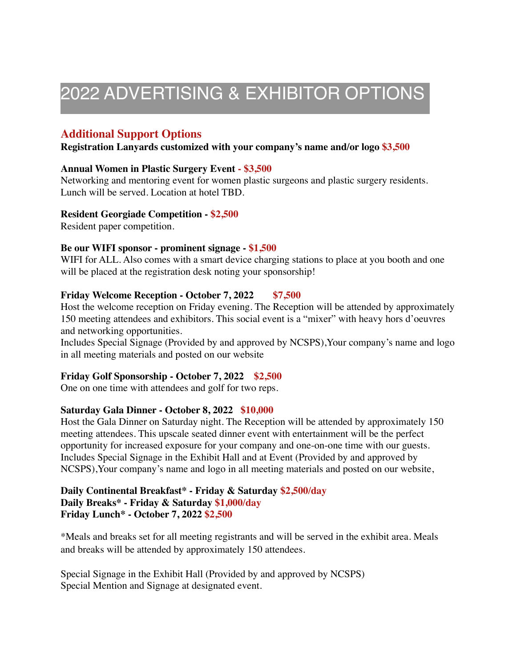## 2022 ADVERTISING & EXHIBITOR OPTIONS

## **Additional Support Options**

#### **Registration Lanyards customized with your company's name and/or logo \$3,500**

#### **Annual Women in Plastic Surgery Event - \$3,500**

Networking and mentoring event for women plastic surgeons and plastic surgery residents. Lunch will be served. Location at hotel TBD.

#### **Resident Georgiade Competition - \$2,500**

Resident paper competition.

#### **Be our WIFI sponsor - prominent signage - \$1,500**

WIFI for ALL. Also comes with a smart device charging stations to place at you booth and one will be placed at the registration desk noting your sponsorship!

#### **Friday Welcome Reception - October 7, 2022 \$7,500**

Host the welcome reception on Friday evening. The Reception will be attended by approximately 150 meeting attendees and exhibitors. This social event is a "mixer" with heavy hors d'oeuvres and networking opportunities.

Includes Special Signage (Provided by and approved by NCSPS),Your company's name and logo in all meeting materials and posted on our website

#### **Friday Golf Sponsorship - October 7, 2022 \$2,500**

One on one time with attendees and golf for two reps.

#### **Saturday Gala Dinner - October 8, 2022 \$10,000**

Host the Gala Dinner on Saturday night. The Reception will be attended by approximately 150 meeting attendees. This upscale seated dinner event with entertainment will be the perfect opportunity for increased exposure for your company and one-on-one time with our guests. Includes Special Signage in the Exhibit Hall and at Event (Provided by and approved by NCSPS),Your company's name and logo in all meeting materials and posted on our website,

#### **Daily Continental Breakfast\* - Friday & Saturday \$2,500/day Daily Breaks\* - Friday & Saturday \$1,000/day Friday Lunch\* - October 7, 2022 \$2,500**

\*Meals and breaks set for all meeting registrants and will be served in the exhibit area. Meals and breaks will be attended by approximately 150 attendees.

Special Signage in the Exhibit Hall (Provided by and approved by NCSPS) Special Mention and Signage at designated event.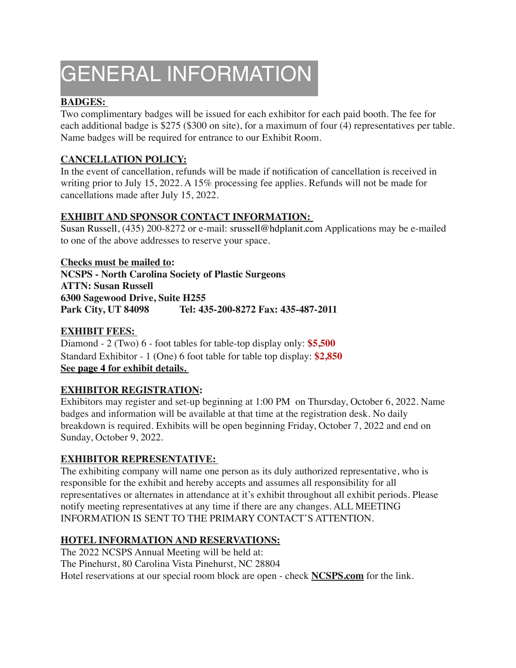# GENERAL INFORMATION

## **BADGES:**

Two complimentary badges will be issued for each exhibitor for each paid booth. The fee for each additional badge is \$275 (\$300 on site), for a maximum of four (4) representatives per table. Name badges will be required for entrance to our Exhibit Room.

## **CANCELLATION POLICY:**

In the event of cancellation, refunds will be made if notification of cancellation is received in writing prior to July 15, 2022. A 15% processing fee applies. Refunds will not be made for cancellations made after July 15, 2022.

## **EXHIBIT AND SPONSOR CONTACT INFORMATION:**

Susan Russell, (435) 200-8272 or e-mail: srussell@hdplanit.com Applications may be e-mailed to one of the above addresses to reserve your space.

**Checks must be mailed to: NCSPS - North Carolina Society of Plastic Surgeons ATTN: Susan Russell 6300 Sagewood Drive, Suite H255 Park City, UT 84098 Tel: 435-200-8272 Fax: 435-487-2011** 

## **EXHIBIT FEES:**

Diamond - 2 (Two) 6 - foot tables for table-top display only: **\$5,500**  Standard Exhibitor - 1 (One) 6 foot table for table top display: **\$2,850 See page 4 for exhibit details.** 

## **EXHIBITOR REGISTRATION:**

Exhibitors may register and set-up beginning at 1:00 PM on Thursday, October 6, 2022. Name badges and information will be available at that time at the registration desk. No daily breakdown is required. Exhibits will be open beginning Friday, October 7, 2022 and end on Sunday, October 9, 2022.

## **EXHIBITOR REPRESENTATIVE:**

The exhibiting company will name one person as its duly authorized representative, who is responsible for the exhibit and hereby accepts and assumes all responsibility for all representatives or alternates in attendance at it's exhibit throughout all exhibit periods. Please notify meeting representatives at any time if there are any changes. ALL MEETING INFORMATION IS SENT TO THE PRIMARY CONTACT'S ATTENTION.

## **HOTEL INFORMATION AND RESERVATIONS:**

The 2022 NCSPS Annual Meeting will be held at: The Pinehurst, 80 Carolina Vista Pinehurst, NC 28804 Hotel reservations at our special room block are open - check **[NCSPS.com](http://NCSPS.com)** for the link.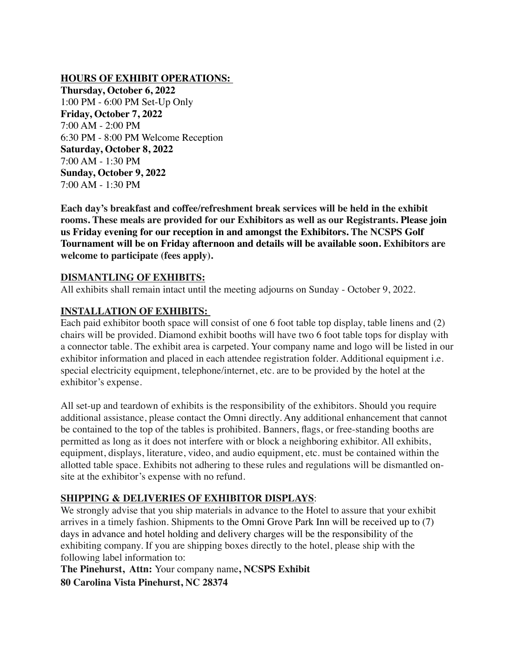#### **HOURS OF EXHIBIT OPERATIONS:**

**Thursday, October 6, 2022**  1:00 PM - 6:00 PM Set-Up Only **Friday, October 7, 2022** 7:00 AM - 2:00 PM 6:30 PM - 8:00 PM Welcome Reception **Saturday, October 8, 2022** 7:00 AM - 1:30 PM **Sunday, October 9, 2022** 7:00 AM - 1:30 PM

**Each day's breakfast and coffee/refreshment break services will be held in the exhibit rooms. These meals are provided for our Exhibitors as well as our Registrants. Please join us Friday evening for our reception in and amongst the Exhibitors. The NCSPS Golf Tournament will be on Friday afternoon and details will be available soon. Exhibitors are welcome to participate (fees apply).** 

#### **DISMANTLING OF EXHIBITS:**

All exhibits shall remain intact until the meeting adjourns on Sunday - October 9, 2022.

#### **INSTALLATION OF EXHIBITS:**

Each paid exhibitor booth space will consist of one 6 foot table top display, table linens and (2) chairs will be provided. Diamond exhibit booths will have two 6 foot table tops for display with a connector table. The exhibit area is carpeted. Your company name and logo will be listed in our exhibitor information and placed in each attendee registration folder. Additional equipment i.e. special electricity equipment, telephone/internet, etc. are to be provided by the hotel at the exhibitor's expense.

All set-up and teardown of exhibits is the responsibility of the exhibitors. Should you require additional assistance, please contact the Omni directly. Any additional enhancement that cannot be contained to the top of the tables is prohibited. Banners, flags, or free-standing booths are permitted as long as it does not interfere with or block a neighboring exhibitor. All exhibits, equipment, displays, literature, video, and audio equipment, etc. must be contained within the allotted table space. Exhibits not adhering to these rules and regulations will be dismantled onsite at the exhibitor's expense with no refund.

### **SHIPPING & DELIVERIES OF EXHIBITOR DISPLAYS**:

We strongly advise that you ship materials in advance to the Hotel to assure that your exhibit arrives in a timely fashion. Shipments to the Omni Grove Park Inn will be received up to (7) days in advance and hotel holding and delivery charges will be the responsibility of the exhibiting company. If you are shipping boxes directly to the hotel, please ship with the following label information to:

**The Pinehurst, Attn:** Your company name**, NCSPS Exhibit 80 Carolina Vista Pinehurst, NC 28374**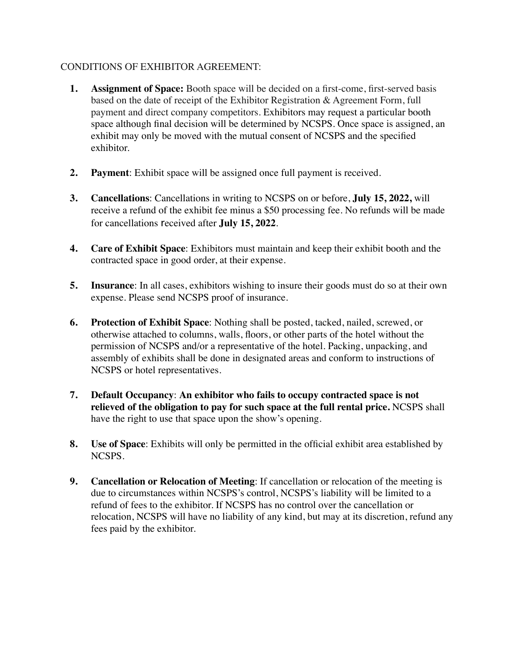## CONDITIONS OF EXHIBITOR AGREEMENT:

- **1. Assignment of Space:** Booth space will be decided on a first-come, first-served basis based on the date of receipt of the Exhibitor Registration & Agreement Form, full payment and direct company competitors. Exhibitors may request a particular booth space although final decision will be determined by NCSPS. Once space is assigned, an exhibit may only be moved with the mutual consent of NCSPS and the specified exhibitor.
- **2. Payment**: Exhibit space will be assigned once full payment is received.
- **3. Cancellations**: Cancellations in writing to NCSPS on or before, **July 15, 2022,** will receive a refund of the exhibit fee minus a \$50 processing fee. No refunds will be made for cancellations received after **July 15, 2022**.
- **4. Care of Exhibit Space**: Exhibitors must maintain and keep their exhibit booth and the contracted space in good order, at their expense.
- **5.** Insurance: In all cases, exhibitors wishing to insure their goods must do so at their own expense. Please send NCSPS proof of insurance.
- **6. Protection of Exhibit Space**: Nothing shall be posted, tacked, nailed, screwed, or otherwise attached to columns, walls, floors, or other parts of the hotel without the permission of NCSPS and/or a representative of the hotel. Packing, unpacking, and assembly of exhibits shall be done in designated areas and conform to instructions of NCSPS or hotel representatives.
- **7. Default Occupancy**: **An exhibitor who fails to occupy contracted space is not relieved of the obligation to pay for such space at the full rental price.** NCSPS shall have the right to use that space upon the show's opening.
- **8. Use of Space**: Exhibits will only be permitted in the official exhibit area established by NCSPS.
- **9. Cancellation or Relocation of Meeting**: If cancellation or relocation of the meeting is due to circumstances within NCSPS's control, NCSPS's liability will be limited to a refund of fees to the exhibitor. If NCSPS has no control over the cancellation or relocation, NCSPS will have no liability of any kind, but may at its discretion, refund any fees paid by the exhibitor.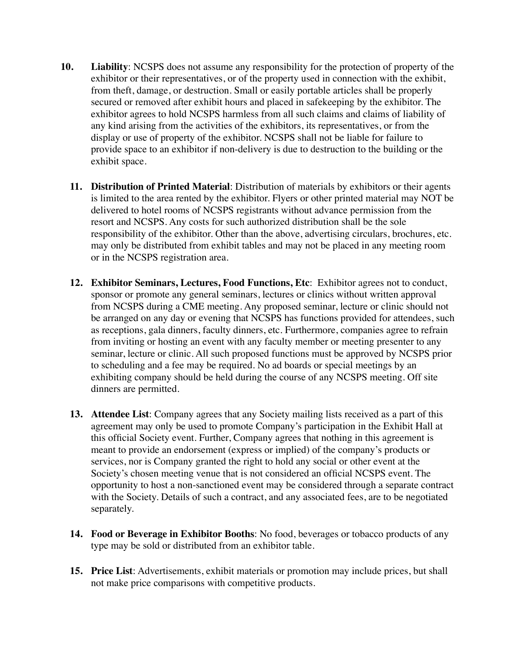- **10. Liability**: NCSPS does not assume any responsibility for the protection of property of the exhibitor or their representatives, or of the property used in connection with the exhibit, from theft, damage, or destruction. Small or easily portable articles shall be properly secured or removed after exhibit hours and placed in safekeeping by the exhibitor. The exhibitor agrees to hold NCSPS harmless from all such claims and claims of liability of any kind arising from the activities of the exhibitors, its representatives, or from the display or use of property of the exhibitor. NCSPS shall not be liable for failure to provide space to an exhibitor if non-delivery is due to destruction to the building or the exhibit space.
	- **11. Distribution of Printed Material**: Distribution of materials by exhibitors or their agents is limited to the area rented by the exhibitor. Flyers or other printed material may NOT be delivered to hotel rooms of NCSPS registrants without advance permission from the resort and NCSPS. Any costs for such authorized distribution shall be the sole responsibility of the exhibitor. Other than the above, advertising circulars, brochures, etc. may only be distributed from exhibit tables and may not be placed in any meeting room or in the NCSPS registration area.
	- **12. Exhibitor Seminars, Lectures, Food Functions, Etc**: Exhibitor agrees not to conduct, sponsor or promote any general seminars, lectures or clinics without written approval from NCSPS during a CME meeting. Any proposed seminar, lecture or clinic should not be arranged on any day or evening that NCSPS has functions provided for attendees, such as receptions, gala dinners, faculty dinners, etc. Furthermore, companies agree to refrain from inviting or hosting an event with any faculty member or meeting presenter to any seminar, lecture or clinic. All such proposed functions must be approved by NCSPS prior to scheduling and a fee may be required. No ad boards or special meetings by an exhibiting company should be held during the course of any NCSPS meeting. Off site dinners are permitted.
	- **13. Attendee List**: Company agrees that any Society mailing lists received as a part of this agreement may only be used to promote Company's participation in the Exhibit Hall at this official Society event. Further, Company agrees that nothing in this agreement is meant to provide an endorsement (express or implied) of the company's products or services, nor is Company granted the right to hold any social or other event at the Society's chosen meeting venue that is not considered an official NCSPS event. The opportunity to host a non-sanctioned event may be considered through a separate contract with the Society. Details of such a contract, and any associated fees, are to be negotiated separately.
	- **14. Food or Beverage in Exhibitor Booths**: No food, beverages or tobacco products of any type may be sold or distributed from an exhibitor table.
	- **15. Price List**: Advertisements, exhibit materials or promotion may include prices, but shall not make price comparisons with competitive products.